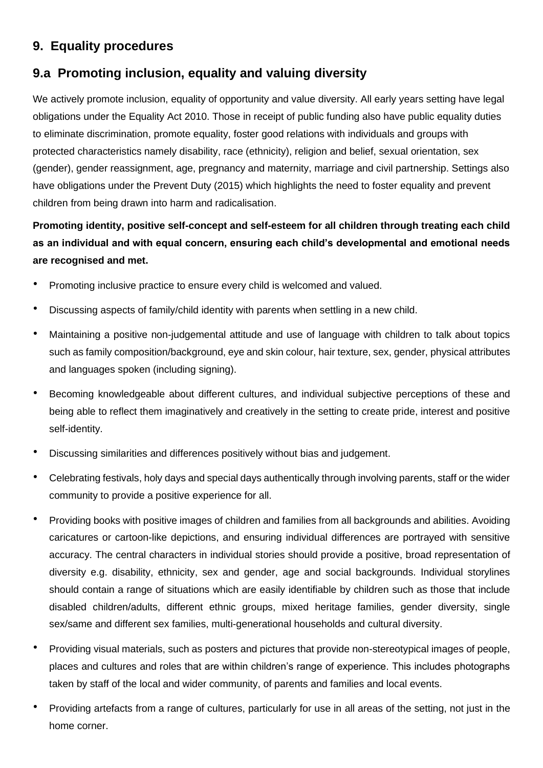# **9. Equality procedures**

## **9.a Promoting inclusion, equality and valuing diversity**

We actively promote inclusion, equality of opportunity and value diversity. All early years setting have legal obligations under the Equality Act 2010. Those in receipt of public funding also have public equality duties to eliminate discrimination, promote equality, foster good relations with individuals and groups with protected characteristics namely disability, race (ethnicity), religion and belief, sexual orientation, sex (gender), gender reassignment, age, pregnancy and maternity, marriage and civil partnership. Settings also have obligations under the Prevent Duty (2015) which highlights the need to foster equality and prevent children from being drawn into harm and radicalisation.

## **Promoting identity, positive self-concept and self-esteem for all children through treating each child as an individual and with equal concern, ensuring each child's developmental and emotional needs are recognised and met.**

- Promoting inclusive practice to ensure every child is welcomed and valued.
- Discussing aspects of family/child identity with parents when settling in a new child.
- Maintaining a positive non-judgemental attitude and use of language with children to talk about topics such as family composition/background, eye and skin colour, hair texture, sex, gender, physical attributes and languages spoken (including signing).
- Becoming knowledgeable about different cultures, and individual subjective perceptions of these and being able to reflect them imaginatively and creatively in the setting to create pride, interest and positive self-identity.
- Discussing similarities and differences positively without bias and judgement.
- Celebrating festivals, holy days and special days authentically through involving parents, staff or the wider community to provide a positive experience for all.
- Providing books with positive images of children and families from all backgrounds and abilities. Avoiding caricatures or cartoon-like depictions, and ensuring individual differences are portrayed with sensitive accuracy. The central characters in individual stories should provide a positive, broad representation of diversity e.g. disability, ethnicity, sex and gender, age and social backgrounds. Individual storylines should contain a range of situations which are easily identifiable by children such as those that include disabled children/adults, different ethnic groups, mixed heritage families, gender diversity, single sex/same and different sex families, multi-generational households and cultural diversity.
- Providing visual materials, such as posters and pictures that provide non-stereotypical images of people, places and cultures and roles that are within children's range of experience. This includes photographs taken by staff of the local and wider community, of parents and families and local events.
- Providing artefacts from a range of cultures, particularly for use in all areas of the setting, not just in the home corner.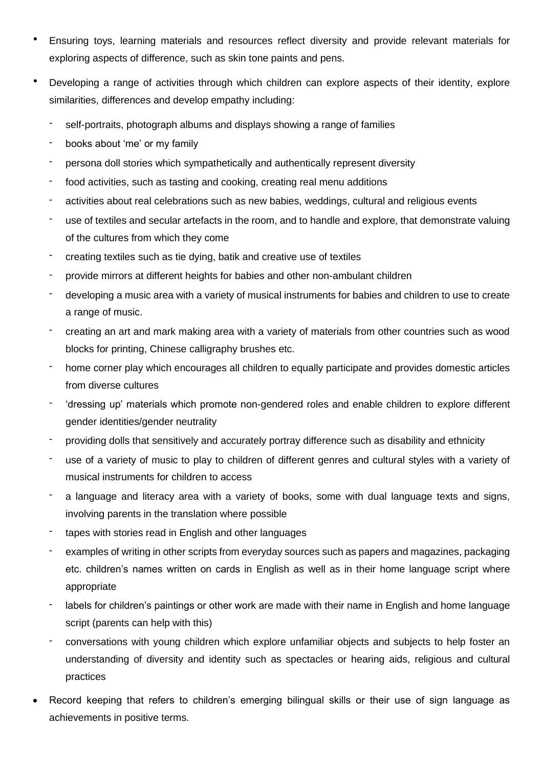- Ensuring toys, learning materials and resources reflect diversity and provide relevant materials for exploring aspects of difference, such as skin tone paints and pens.
- Developing a range of activities through which children can explore aspects of their identity, explore similarities, differences and develop empathy including:
	- self-portraits, photograph albums and displays showing a range of families
	- books about 'me' or my family
	- persona doll stories which sympathetically and authentically represent diversity
	- food activities, such as tasting and cooking, creating real menu additions
	- activities about real celebrations such as new babies, weddings, cultural and religious events
	- use of textiles and secular artefacts in the room, and to handle and explore, that demonstrate valuing of the cultures from which they come
	- creating textiles such as tie dying, batik and creative use of textiles
	- provide mirrors at different heights for babies and other non-ambulant children
	- developing a music area with a variety of musical instruments for babies and children to use to create a range of music.
	- creating an art and mark making area with a variety of materials from other countries such as wood blocks for printing, Chinese calligraphy brushes etc.
	- home corner play which encourages all children to equally participate and provides domestic articles from diverse cultures
	- 'dressing up' materials which promote non-gendered roles and enable children to explore different gender identities/gender neutrality
	- providing dolls that sensitively and accurately portray difference such as disability and ethnicity
	- use of a variety of music to play to children of different genres and cultural styles with a variety of musical instruments for children to access
	- a language and literacy area with a variety of books, some with dual language texts and signs, involving parents in the translation where possible
	- tapes with stories read in English and other languages
	- examples of writing in other scripts from everyday sources such as papers and magazines, packaging etc. children's names written on cards in English as well as in their home language script where appropriate
	- labels for children's paintings or other work are made with their name in English and home language script (parents can help with this)
	- conversations with young children which explore unfamiliar objects and subjects to help foster an understanding of diversity and identity such as spectacles or hearing aids, religious and cultural practices
- Record keeping that refers to children's emerging bilingual skills or their use of sign language as achievements in positive terms.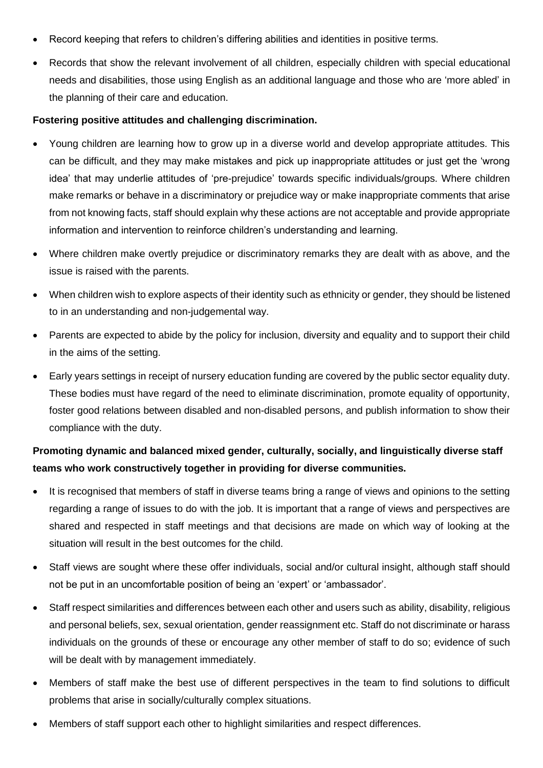- Record keeping that refers to children's differing abilities and identities in positive terms.
- Records that show the relevant involvement of all children, especially children with special educational needs and disabilities, those using English as an additional language and those who are 'more abled' in the planning of their care and education.

#### **Fostering positive attitudes and challenging discrimination.**

- Young children are learning how to grow up in a diverse world and develop appropriate attitudes. This can be difficult, and they may make mistakes and pick up inappropriate attitudes or just get the 'wrong idea' that may underlie attitudes of 'pre-prejudice' towards specific individuals/groups. Where children make remarks or behave in a discriminatory or prejudice way or make inappropriate comments that arise from not knowing facts, staff should explain why these actions are not acceptable and provide appropriate information and intervention to reinforce children's understanding and learning.
- Where children make overtly prejudice or discriminatory remarks they are dealt with as above, and the issue is raised with the parents.
- When children wish to explore aspects of their identity such as ethnicity or gender, they should be listened to in an understanding and non-judgemental way.
- Parents are expected to abide by the policy for inclusion, diversity and equality and to support their child in the aims of the setting.
- Early years settings in receipt of nursery education funding are covered by the public sector equality duty. These bodies must have regard of the need to eliminate discrimination, promote equality of opportunity, foster good relations between disabled and non-disabled persons, and publish information to show their compliance with the duty.

### **Promoting dynamic and balanced mixed gender, culturally, socially, and linguistically diverse staff teams who work constructively together in providing for diverse communities.**

- It is recognised that members of staff in diverse teams bring a range of views and opinions to the setting regarding a range of issues to do with the job. It is important that a range of views and perspectives are shared and respected in staff meetings and that decisions are made on which way of looking at the situation will result in the best outcomes for the child.
- Staff views are sought where these offer individuals, social and/or cultural insight, although staff should not be put in an uncomfortable position of being an 'expert' or 'ambassador'.
- Staff respect similarities and differences between each other and users such as ability, disability, religious and personal beliefs, sex, sexual orientation, gender reassignment etc. Staff do not discriminate or harass individuals on the grounds of these or encourage any other member of staff to do so; evidence of such will be dealt with by management immediately.
- Members of staff make the best use of different perspectives in the team to find solutions to difficult problems that arise in socially/culturally complex situations.
- Members of staff support each other to highlight similarities and respect differences.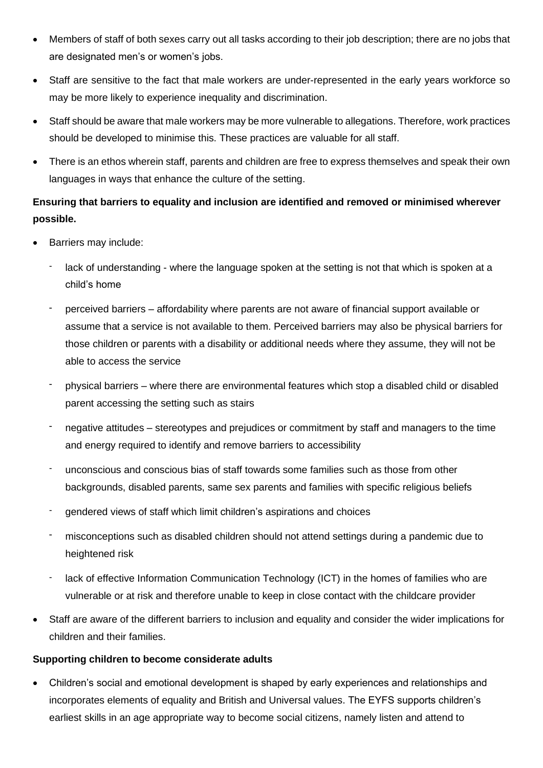- Members of staff of both sexes carry out all tasks according to their job description; there are no jobs that are designated men's or women's jobs.
- Staff are sensitive to the fact that male workers are under-represented in the early years workforce so may be more likely to experience inequality and discrimination.
- Staff should be aware that male workers may be more vulnerable to allegations. Therefore, work practices should be developed to minimise this. These practices are valuable for all staff.
- There is an ethos wherein staff, parents and children are free to express themselves and speak their own languages in ways that enhance the culture of the setting.

## **Ensuring that barriers to equality and inclusion are identified and removed or minimised wherever possible.**

- Barriers may include:
	- lack of understanding where the language spoken at the setting is not that which is spoken at a child's home
	- perceived barriers affordability where parents are not aware of financial support available or assume that a service is not available to them. Perceived barriers may also be physical barriers for those children or parents with a disability or additional needs where they assume, they will not be able to access the service
	- physical barriers where there are environmental features which stop a disabled child or disabled parent accessing the setting such as stairs
	- negative attitudes stereotypes and prejudices or commitment by staff and managers to the time and energy required to identify and remove barriers to accessibility
	- unconscious and conscious bias of staff towards some families such as those from other backgrounds, disabled parents, same sex parents and families with specific religious beliefs
	- gendered views of staff which limit children's aspirations and choices
	- misconceptions such as disabled children should not attend settings during a pandemic due to heightened risk
	- lack of effective Information Communication Technology (ICT) in the homes of families who are vulnerable or at risk and therefore unable to keep in close contact with the childcare provider
- Staff are aware of the different barriers to inclusion and equality and consider the wider implications for children and their families.

### **Supporting children to become considerate adults**

• Children's social and emotional development is shaped by early experiences and relationships and incorporates elements of equality and British and Universal values. The EYFS supports children's earliest skills in an age appropriate way to become social citizens, namely listen and attend to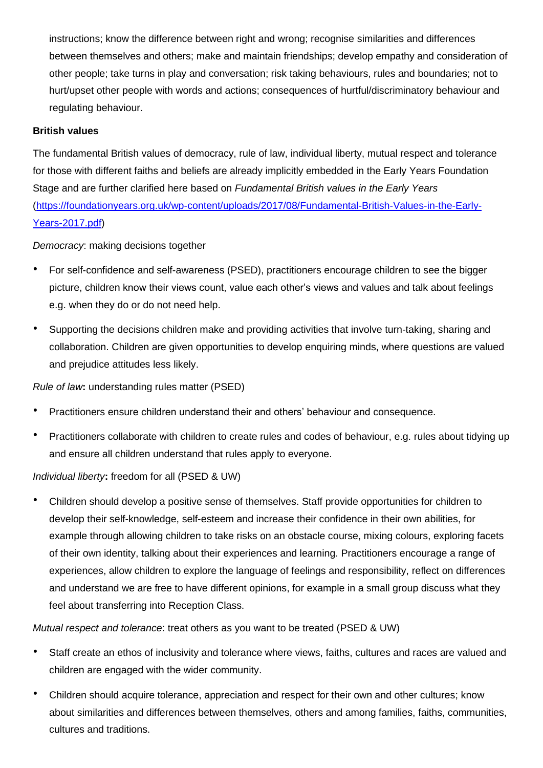instructions; know the difference between right and wrong; recognise similarities and differences between themselves and others; make and maintain friendships; develop empathy and consideration of other people; take turns in play and conversation; risk taking behaviours, rules and boundaries; not to hurt/upset other people with words and actions; consequences of hurtful/discriminatory behaviour and regulating behaviour.

#### **British values**

The fundamental British values of democracy, rule of law, individual liberty, mutual respect and tolerance for those with different faiths and beliefs are already implicitly embedded in the Early Years Foundation Stage and are further clarified here based on *Fundamental British values in the Early Years* [\(https://foundationyears.org.uk/wp-content/uploads/2017/08/Fundamental-British-Values-in-the-Early-](https://foundationyears.org.uk/wp-content/uploads/2017/08/Fundamental-British-Values-in-the-Early-Years-2017.pdf)[Years-2017.pdf\)](https://foundationyears.org.uk/wp-content/uploads/2017/08/Fundamental-British-Values-in-the-Early-Years-2017.pdf)

*Democracy*: making decisions together

- For self-confidence and self-awareness (PSED), practitioners encourage children to see the bigger picture, children know their views count, value each other's views and values and talk about feelings e.g. when they do or do not need help.
- Supporting the decisions children make and providing activities that involve turn-taking, sharing and collaboration. Children are given opportunities to develop enquiring minds, where questions are valued and prejudice attitudes less likely.

*Rule of law***:** understanding rules matter (PSED)

- Practitioners ensure children understand their and others' behaviour and consequence.
- Practitioners collaborate with children to create rules and codes of behaviour, e.g. rules about tidying up and ensure all children understand that rules apply to everyone.

### *Individual liberty***:** freedom for all (PSED & UW)

• Children should develop a positive sense of themselves. Staff provide opportunities for children to develop their self-knowledge, self-esteem and increase their confidence in their own abilities, for example through allowing children to take risks on an obstacle course, mixing colours, exploring facets of their own identity, talking about their experiences and learning. Practitioners encourage a range of experiences, allow children to explore the language of feelings and responsibility, reflect on differences and understand we are free to have different opinions, for example in a small group discuss what they feel about transferring into Reception Class.

*Mutual respect and tolerance*: treat others as you want to be treated (PSED & UW)

- Staff create an ethos of inclusivity and tolerance where views, faiths, cultures and races are valued and children are engaged with the wider community.
- Children should acquire tolerance, appreciation and respect for their own and other cultures; know about similarities and differences between themselves, others and among families, faiths, communities, cultures and traditions.